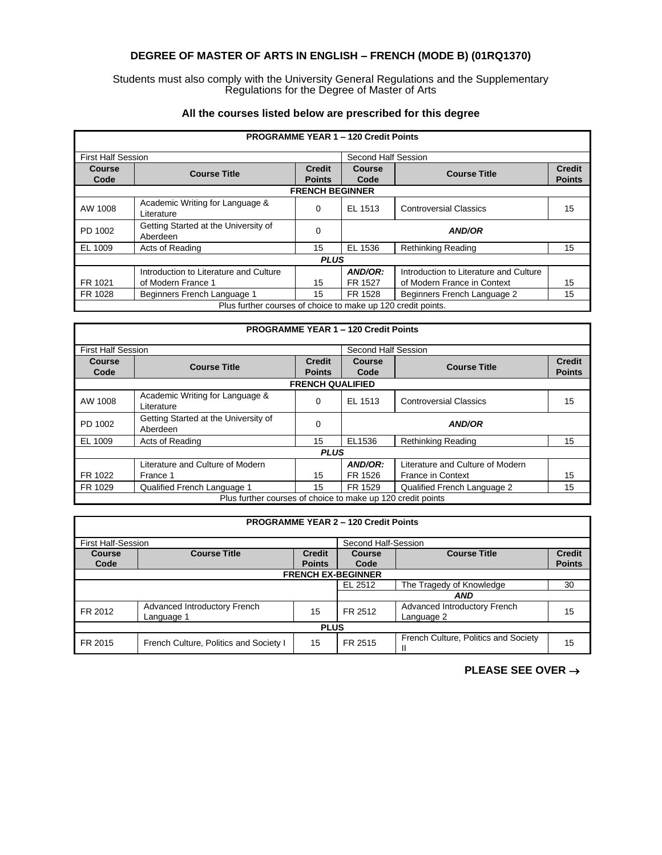# **DEGREE OF MASTER OF ARTS IN ENGLISH – FRENCH (MODE B) (01RQ1370)**

### Students must also comply with the University General Regulations and the Supplementary Regulations for the Degree of Master of Arts

| <b>PROGRAMME YEAR 1 - 120 Credit Points</b>                  |                                                  |                                |                                            |                                        |                                |  |
|--------------------------------------------------------------|--------------------------------------------------|--------------------------------|--------------------------------------------|----------------------------------------|--------------------------------|--|
| <b>First Half Session</b>                                    |                                                  |                                | Second Half Session                        |                                        |                                |  |
| Course<br>Code                                               | <b>Course Title</b>                              | <b>Credit</b><br><b>Points</b> | Course<br><b>Course Title</b><br>Code      |                                        | <b>Credit</b><br><b>Points</b> |  |
| <b>FRENCH BEGINNER</b>                                       |                                                  |                                |                                            |                                        |                                |  |
| AW 1008                                                      | Academic Writing for Language &<br>Literature    | 0                              | EL 1513                                    | <b>Controversial Classics</b>          | 15                             |  |
| PD 1002                                                      | Getting Started at the University of<br>Aberdeen | $\Omega$                       | <b>AND/OR</b>                              |                                        |                                |  |
| EL 1009                                                      | Acts of Reading                                  | 15                             | EL 1536<br><b>Rethinking Reading</b><br>15 |                                        |                                |  |
| <b>PLUS</b>                                                  |                                                  |                                |                                            |                                        |                                |  |
|                                                              | Introduction to Literature and Culture           |                                | AND/OR:                                    | Introduction to Literature and Culture |                                |  |
| FR 1021                                                      | of Modern France 1                               | 15                             | FR 1527                                    | of Modern France in Context            | 15                             |  |
| FR 1028                                                      | Beginners French Language 1                      | 15                             | FR 1528                                    | Beginners French Language 2            | 15                             |  |
| Plus further courses of choice to make up 120 credit points. |                                                  |                                |                                            |                                        |                                |  |

## **All the courses listed below are prescribed for this degree**

| <b>PROGRAMME YEAR 1 - 120 Credit Points</b>                 |                                                  |                                |                     |                                  |                                |  |
|-------------------------------------------------------------|--------------------------------------------------|--------------------------------|---------------------|----------------------------------|--------------------------------|--|
| <b>First Half Session</b>                                   |                                                  |                                | Second Half Session |                                  |                                |  |
| Course<br>Code                                              | <b>Course Title</b>                              | <b>Credit</b><br><b>Points</b> | Course<br>Code      | <b>Course Title</b>              | <b>Credit</b><br><b>Points</b> |  |
|                                                             |                                                  | <b>FRENCH QUALIFIED</b>        |                     |                                  |                                |  |
| AW 1008                                                     | Academic Writing for Language &<br>Literature    | $\Omega$                       | EL 1513             | <b>Controversial Classics</b>    | 15                             |  |
| PD 1002                                                     | Getting Started at the University of<br>Aberdeen | 0                              | <b>AND/OR</b>       |                                  |                                |  |
| EL 1009                                                     | Acts of Reading                                  | 15                             | EL1536              | <b>Rethinking Reading</b>        | 15                             |  |
| <b>PLUS</b>                                                 |                                                  |                                |                     |                                  |                                |  |
|                                                             | Literature and Culture of Modern                 |                                | AND/OR:             | Literature and Culture of Modern |                                |  |
| FR 1022                                                     | France 1                                         | 15                             | FR 1526             | <b>France in Context</b>         | 15                             |  |
| FR 1029                                                     | Qualified French Language 1                      | 15                             | FR 1529             | Qualified French Language 2      | 15                             |  |
| Plus further courses of choice to make up 120 credit points |                                                  |                                |                     |                                  |                                |  |

| <b>PROGRAMME YEAR 2 - 120 Credit Points</b>                 |                                        |                                |                                            |                                      |    |  |
|-------------------------------------------------------------|----------------------------------------|--------------------------------|--------------------------------------------|--------------------------------------|----|--|
| <b>First Half-Session</b>                                   |                                        |                                | Second Half-Session                        |                                      |    |  |
| Course<br>Code                                              | <b>Course Title</b>                    | <b>Credit</b><br><b>Points</b> | <b>Course Title</b><br>Course<br>Code      |                                      |    |  |
| <b>FRENCH EX-BEGINNER</b>                                   |                                        |                                |                                            |                                      |    |  |
|                                                             |                                        |                                | EL 2512                                    | The Tragedy of Knowledge             | 30 |  |
| <b>AND</b>                                                  |                                        |                                |                                            |                                      |    |  |
| Advanced Introductory French<br>FR 2012<br>15<br>Language 1 |                                        | FR 2512                        | Advanced Introductory French<br>Language 2 | 15                                   |    |  |
| <b>PLUS</b>                                                 |                                        |                                |                                            |                                      |    |  |
| FR 2015                                                     | French Culture, Politics and Society I | 15                             | FR 2515                                    | French Culture, Politics and Society | 15 |  |

## **PLEASE SEE OVER** →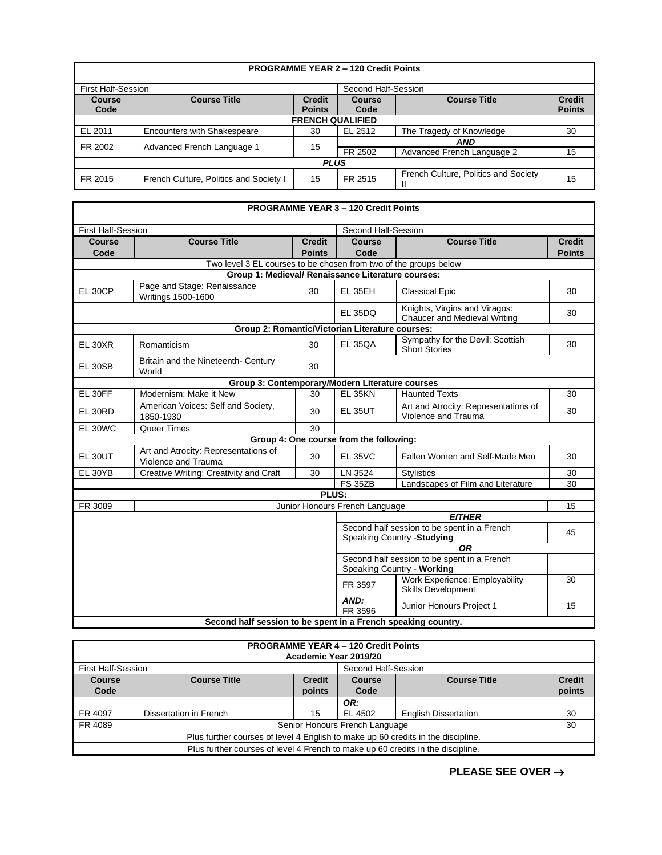| <b>PROGRAMME YEAR 2 - 120 Credit Points</b> |                                        |                                |                                                                                |                                      |    |  |
|---------------------------------------------|----------------------------------------|--------------------------------|--------------------------------------------------------------------------------|--------------------------------------|----|--|
| <b>First Half-Session</b>                   |                                        |                                | Second Half-Session                                                            |                                      |    |  |
| <b>Course</b><br>Code                       | <b>Course Title</b>                    | <b>Credit</b><br><b>Points</b> | <b>Credit</b><br><b>Course Title</b><br><b>Course</b><br><b>Points</b><br>Code |                                      |    |  |
| <b>FRENCH QUALIFIED</b>                     |                                        |                                |                                                                                |                                      |    |  |
| EL 2011                                     | <b>Encounters with Shakespeare</b>     | 30                             | EL 2512<br>The Tragedy of Knowledge<br>30                                      |                                      |    |  |
| Advanced French Language 1<br>FR 2002       |                                        | 15                             | <b>AND</b>                                                                     |                                      |    |  |
|                                             |                                        |                                | FR 2502                                                                        | Advanced French Language 2           | 15 |  |
| <b>PLUS</b>                                 |                                        |                                |                                                                                |                                      |    |  |
| FR 2015                                     | French Culture, Politics and Society I | 15                             | FR 2515                                                                        | French Culture, Politics and Society | 15 |  |

#### **PROGRAMME YEAR 3 – 120 Credit Points** First Half-Session Second Half-Session **Course Code Course Title Credit Points Course Code Course Title Credit Points** Two level 3 EL courses to be chosen from two of the groups below **Group 1: Medieval/ Renaissance Literature courses:** EL 30CP Page and Stage: Renaissance Writings 1500-1600 <sup>30</sup> EL 35EH Classical Epic 30 EL 35DQ Knights, Virgins and Viragos: **Chaucer and Medieval Writing Chaucer and Medieval Writing 30 Group 2: Romantic/Victorian Literature courses:** EL 30XR Romanticism 20 EL 35QA Sympathy for the Devil: Scottish Sympatriy for the Devil. Scotush [130] EL 30SB Britain and the Nineteenth- Century | 30 **Group 3: Contemporary/Modern Literature courses** EL 30FF | Modernism: Make it New | 30 | EL 35KN | Haunted Texts | 30 EL 30RD American Voices: Self and Society,<br>1850-1930 30 EL 35UT Art and Atrocity: Representations of Art and Atrocity. Representations of 20<br>Violence and Trauma EL 30WC Queer Times 30 **Group 4: One course from the following:** EL 30UT Art and Atrocity: Representations of<br>Violence and Trauma 30 | EL 35VC | Fallen Women and Self-Made Men | 30 EL 30YB | Creative Writing: Creativity and Craft | 30 | LN 3524 Stylistics | 30 | 30<br>FS 35ZB | Landscapes of Film and Literature | 30 Landscapes of Film and Literature **PLUS:** FR 3089 | Junior Honours French Language 15 | 15 *EITHER* Second half session to be spent in a French Second nail session to be spent in a French<br>Speaking Country -**Studying** 45 *OR* Second half session to be spent in a French Speaking Country - **Working** FR 3597 Work Experience: Employability Skills Development 30 *AND:*  Junior Honours Project 1 15

| Second half session to be spent in a French speaking country. |  |  |
|---------------------------------------------------------------|--|--|
|                                                               |  |  |

| <b>PROGRAMME YEAR 4 - 120 Credit Points</b><br>Academic Year 2019/20             |                                                                       |        |                     |                             |               |
|----------------------------------------------------------------------------------|-----------------------------------------------------------------------|--------|---------------------|-----------------------------|---------------|
| <b>First Half-Session</b>                                                        |                                                                       |        | Second Half-Session |                             |               |
| Course                                                                           | <b>Course Title</b><br><b>Credit</b><br><b>Course Title</b><br>Course |        |                     |                             | <b>Credit</b> |
| Code                                                                             |                                                                       | points | Code                |                             | points        |
|                                                                                  | OR:                                                                   |        |                     |                             |               |
| FR 4097                                                                          | Dissertation in French                                                | 15     | EL 4502             | <b>English Dissertation</b> | 30            |
| FR 4089                                                                          | Senior Honours French Language<br>30                                  |        |                     |                             |               |
| Plus further courses of level 4 English to make up 60 credits in the discipline. |                                                                       |        |                     |                             |               |
| Plus further courses of level 4 French to make up 60 credits in the discipline.  |                                                                       |        |                     |                             |               |

**PLEASE SEE OVER** →